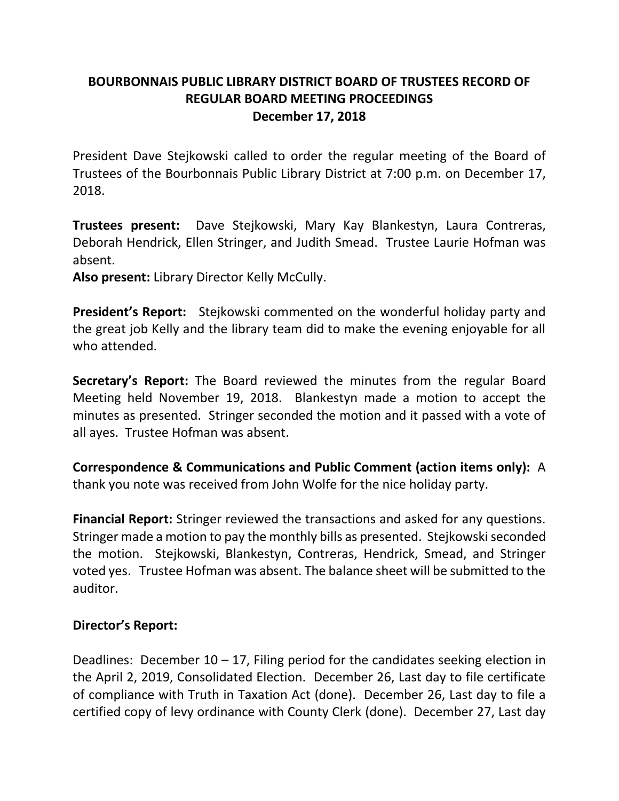## **BOURBONNAIS PUBLIC LIBRARY DISTRICT BOARD OF TRUSTEES RECORD OF REGULAR BOARD MEETING PROCEEDINGS December 17, 2018**

President Dave Stejkowski called to order the regular meeting of the Board of Trustees of the Bourbonnais Public Library District at 7:00 p.m. on December 17, 2018.

**Trustees present:** Dave Stejkowski, Mary Kay Blankestyn, Laura Contreras, Deborah Hendrick, Ellen Stringer, and Judith Smead. Trustee Laurie Hofman was absent.

**Also present:** Library Director Kelly McCully.

**President's Report:** Stejkowski commented on the wonderful holiday party and the great job Kelly and the library team did to make the evening enjoyable for all who attended.

**Secretary's Report:** The Board reviewed the minutes from the regular Board Meeting held November 19, 2018. Blankestyn made a motion to accept the minutes as presented. Stringer seconded the motion and it passed with a vote of all ayes. Trustee Hofman was absent.

**Correspondence & Communications and Public Comment (action items only):** A thank you note was received from John Wolfe for the nice holiday party.

**Financial Report:** Stringer reviewed the transactions and asked for any questions. Stringer made a motion to pay the monthly bills as presented. Stejkowski seconded the motion. Stejkowski, Blankestyn, Contreras, Hendrick, Smead, and Stringer voted yes. Trustee Hofman was absent. The balance sheet will be submitted to the auditor.

## **Director's Report:**

Deadlines: December  $10 - 17$ , Filing period for the candidates seeking election in the April 2, 2019, Consolidated Election. December 26, Last day to file certificate of compliance with Truth in Taxation Act (done). December 26, Last day to file a certified copy of levy ordinance with County Clerk (done). December 27, Last day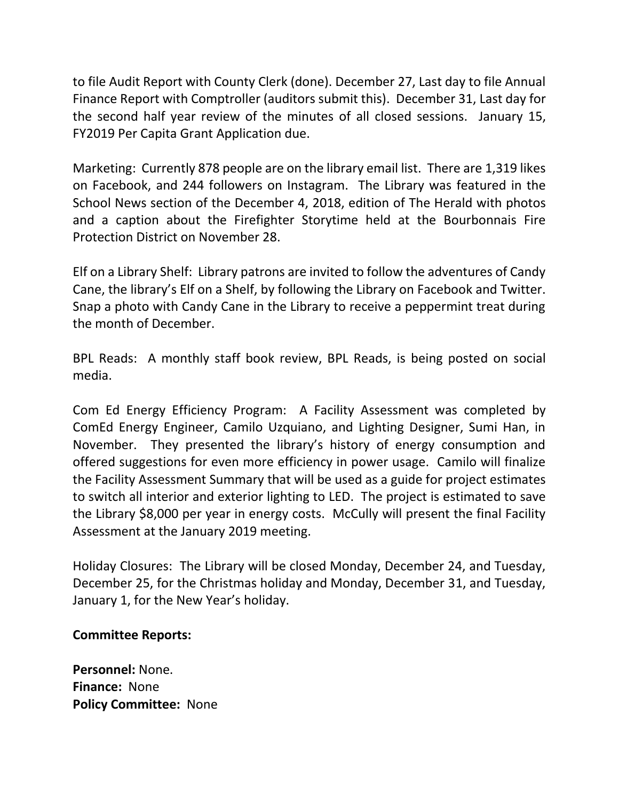to file Audit Report with County Clerk (done). December 27, Last day to file Annual Finance Report with Comptroller (auditors submit this). December 31, Last day for the second half year review of the minutes of all closed sessions. January 15, FY2019 Per Capita Grant Application due.

Marketing: Currently 878 people are on the library email list. There are 1,319 likes on Facebook, and 244 followers on Instagram. The Library was featured in the School News section of the December 4, 2018, edition of The Herald with photos and a caption about the Firefighter Storytime held at the Bourbonnais Fire Protection District on November 28.

Elf on a Library Shelf: Library patrons are invited to follow the adventures of Candy Cane, the library's Elf on a Shelf, by following the Library on Facebook and Twitter. Snap a photo with Candy Cane in the Library to receive a peppermint treat during the month of December.

BPL Reads: A monthly staff book review, BPL Reads, is being posted on social media.

Com Ed Energy Efficiency Program: A Facility Assessment was completed by ComEd Energy Engineer, Camilo Uzquiano, and Lighting Designer, Sumi Han, in November. They presented the library's history of energy consumption and offered suggestions for even more efficiency in power usage. Camilo will finalize the Facility Assessment Summary that will be used as a guide for project estimates to switch all interior and exterior lighting to LED. The project is estimated to save the Library \$8,000 per year in energy costs. McCully will present the final Facility Assessment at the January 2019 meeting.

Holiday Closures: The Library will be closed Monday, December 24, and Tuesday, December 25, for the Christmas holiday and Monday, December 31, and Tuesday, January 1, for the New Year's holiday.

## **Committee Reports:**

**Personnel:** None. **Finance:** None **Policy Committee:** None